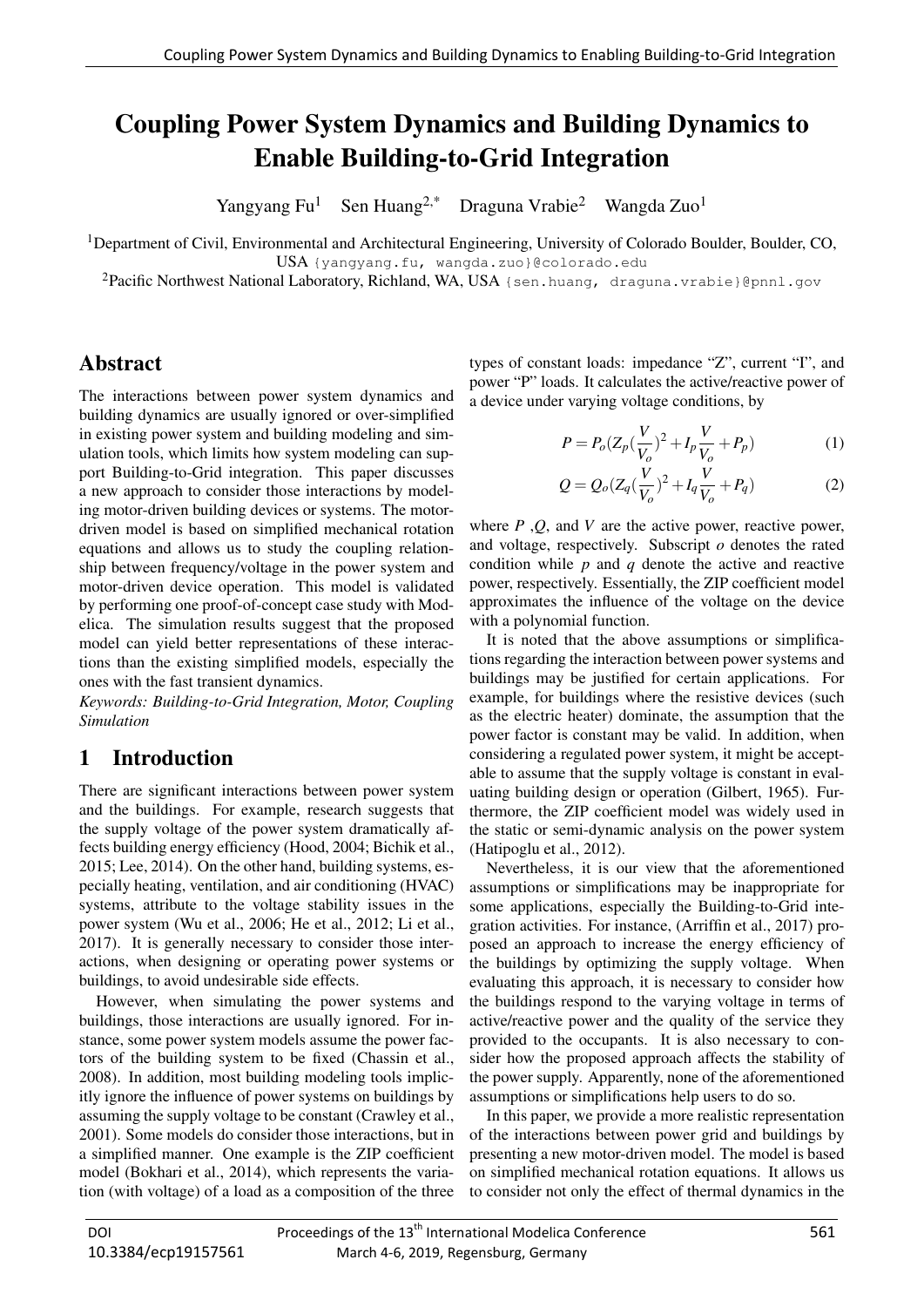# **Coupling Power System Dynamics and Building Dynamics to** Enable Building-to-Grid Integration

Yangyang Fu<sup>1</sup> Sen Huang<sup>2,\*</sup> Draguna Vrabie<sup>2</sup> Wangda Zuo<sup>1</sup>

<sup>1</sup>Department of Civil, Environmental and Architectural Engineering, University of Colorado Boulder, Boulder, CO,

USA {yangyang.fu, wangda.zuo}@colorado.edu

<sup>2</sup>Pacific Northwest National Laboratory, Richland, WA, USA {sen.huang, draguna.vrabie}@pnnl.gov

# Abstract

The interactions between power system dynamics and building dynamics are usually ignored or over-simplified in existing power system and building modeling and simulation tools, which limits how system modeling can support Building-to-Grid integration. This paper discusses a new approach to consider those interactions by modeling motor-driven building devices or systems. The motordriven model is based on simplified mechanical rotation equations and allows us to study the coupling relationship between frequency/voltage in the power system and motor-driven device operation. This model is validated by performing one proof-of-concept case study with Modelica. The simulation results suggest that the proposed model can yield better representations of these interactions than the existing simplified models, especially the ones with the fast transient dynamics.

*Keywords: Building-to-Grid Integration, Motor, Coupling Simulation*

### 1 Introduction

There are significant interactions between power system and the buildings. For example, research suggests that the supply voltage of the power system dramatically affects building energy efficiency (Hood, 2004; Bichik et al., 2015; Lee, 2014). On the other hand, building systems, especially heating, ventilation, and air conditioning (HVAC) systems, attribute to the voltage stability issues in the power system (Wu et al., 2006; He et al., 2012; Li et al., 2017). It is generally necessary to consider those interactions, when designing or operating power systems or buildings, to avoid undesirable side effects.

However, when simulating the power systems and buildings, those interactions are usually ignored. For instance, some power system models assume the power factors of the building system to be fixed (Chassin et al., 2008). In addition, most building modeling tools implicitly ignore the influence of power systems on buildings by assuming the supply voltage to be constant (Crawley et al., 2001). Some models do consider those interactions, but in a simplified manner. One example is the ZIP coefficient model (Bokhari et al., 2014), which represents the variation (with voltage) of a load as a composition of the three

types of constant loads: impedance "Z", current "I", and power "P" loads. It calculates the active/reactive power of a device under varying voltage conditions, by

$$
P = P_o (Z_p (\frac{V}{V_o})^2 + I_p \frac{V}{V_o} + P_p)
$$
 (1)

$$
Q = Q_o (Z_q (\frac{V}{V_o})^2 + I_q \frac{V}{V_o} + P_q)
$$
 (2)

where *P* ,*Q*, and *V* are the active power, reactive power, and voltage, respectively. Subscript *o* denotes the rated condition while *p* and *q* denote the active and reactive power, respectively. Essentially, the ZIP coefficient model approximates the influence of the voltage on the device with a polynomial function.

It is noted that the above assumptions or simplifications regarding the interaction between power systems and buildings may be justified for certain applications. For example, for buildings where the resistive devices (such as the electric heater) dominate, the assumption that the power factor is constant may be valid. In addition, when considering a regulated power system, it might be acceptable to assume that the supply voltage is constant in evaluating building design or operation (Gilbert, 1965). Furthermore, the ZIP coefficient model was widely used in the static or semi-dynamic analysis on the power system (Hatipoglu et al., 2012).

Nevertheless, it is our view that the aforementioned assumptions or simplifications may be inappropriate for some applications, especially the Building-to-Grid integration activities. For instance, (Arriffin et al., 2017) proposed an approach to increase the energy efficiency of the buildings by optimizing the supply voltage. When evaluating this approach, it is necessary to consider how the buildings respond to the varying voltage in terms of active/reactive power and the quality of the service they provided to the occupants. It is also necessary to consider how the proposed approach affects the stability of the power supply. Apparently, none of the aforementioned assumptions or simplifications help users to do so.

In this paper, we provide a more realistic representation of the interactions between power grid and buildings by presenting a new motor-driven model. The model is based on simplified mechanical rotation equations. It allows us to consider not only the effect of thermal dynamics in the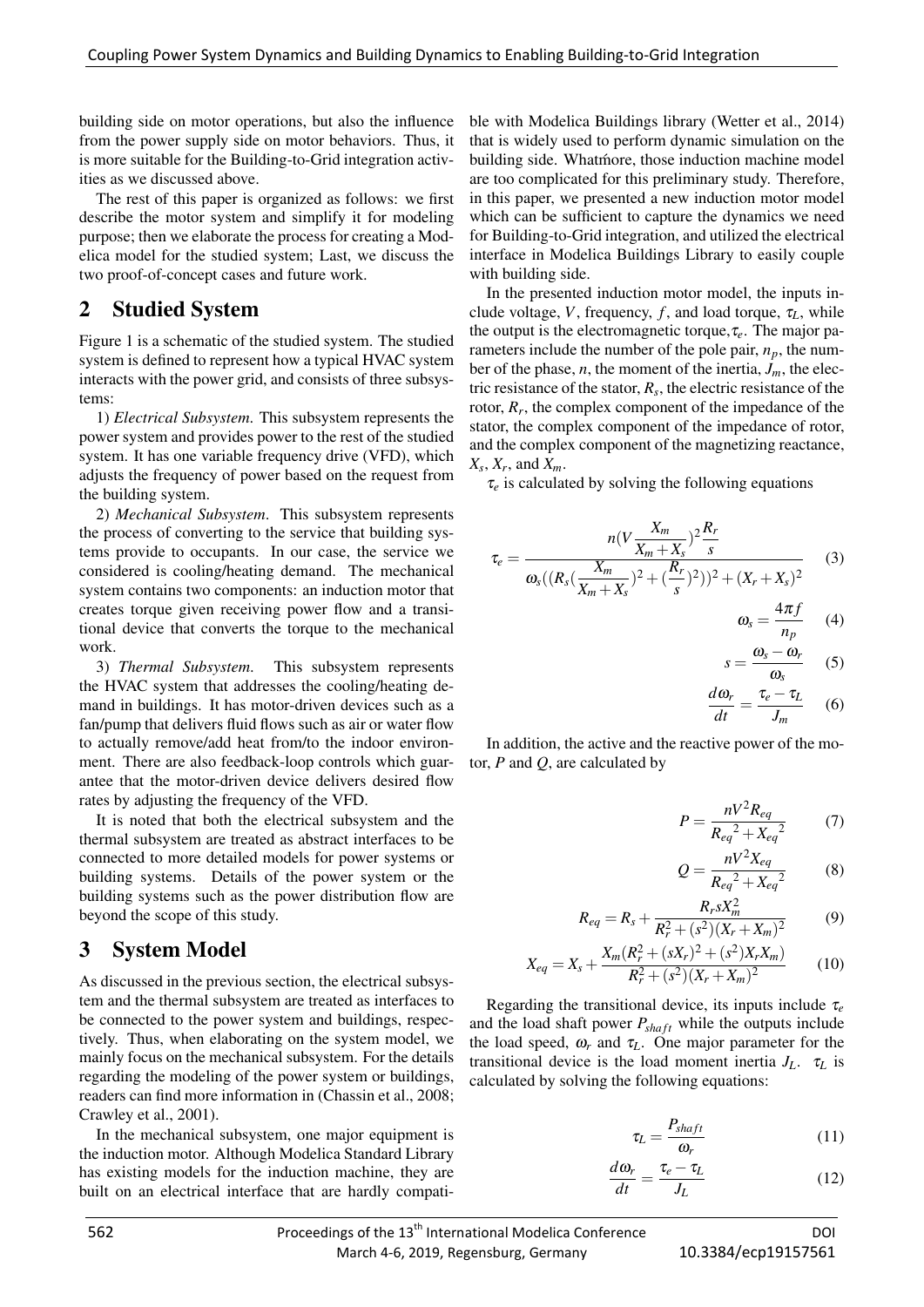building side on motor operations, but also the influence from the power supply side on motor behaviors. Thus, it is more suitable for the Building-to-Grid integration activities as we discussed above.

The rest of this paper is organized as follows: we first describe the motor system and simplify it for modeling purpose; then we elaborate the process for creating a Modelica model for the studied system; Last, we discuss the two proof-of-concept cases and future work.

#### 2 Studied System

Figure 1 is a schematic of the studied system. The studied system is defined to represent how a typical HVAC system interacts with the power grid, and consists of three subsystems:

1) *Electrical Subsystem*. This subsystem represents the power system and provides power to the rest of the studied system. It has one variable frequency drive (VFD), which adjusts the frequency of power based on the request from the building system.

2) *Mechanical Subsystem*. This subsystem represents the process of converting to the service that building systems provide to occupants. In our case, the service we considered is cooling/heating demand. The mechanical system contains two components: an induction motor that creates torque given receiving power flow and a transitional device that converts the torque to the mechanical work.

3) *Thermal Subsystem*. This subsystem represents the HVAC system that addresses the cooling/heating demand in buildings. It has motor-driven devices such as a fan/pump that delivers fluid flows such as air or water flow to actually remove/add heat from/to the indoor environment. There are also feedback-loop controls which guarantee that the motor-driven device delivers desired flow rates by adjusting the frequency of the VFD.

It is noted that both the electrical subsystem and the thermal subsystem are treated as abstract interfaces to be connected to more detailed models for power systems or building systems. Details of the power system or the building systems such as the power distribution flow are beyond the scope of this study.

### 3 System Model

As discussed in the previous section, the electrical subsystem and the thermal subsystem are treated as interfaces to be connected to the power system and buildings, respectively. Thus, when elaborating on the system model, we mainly focus on the mechanical subsystem. For the details regarding the modeling of the power system or buildings, readers can find more information in (Chassin et al., 2008; Crawley et al., 2001).

In the mechanical subsystem, one major equipment is the induction motor. Although Modelica Standard Library has existing models for the induction machine, they are built on an electrical interface that are hardly compati-

ble with Modelica Buildings library (Wetter et al., 2014) that is widely used to perform dynamic simulation on the building side. Whatmore, those induction machine model are too complicated for this preliminary study. Therefore, in this paper, we presented a new induction motor model which can be sufficient to capture the dynamics we need for Building-to-Grid integration, and utilized the electrical interface in Modelica Buildings Library to easily couple with building side.

In the presented induction motor model, the inputs include voltage, *V*, frequency, *f*, and load torque,  $\tau_L$ , while the output is the electromagnetic torque,τ*e*. The major parameters include the number of the pole pair,  $n_p$ , the number of the phase, *n*, the moment of the inertia,  $J_m$ , the electric resistance of the stator,  $R_s$ , the electric resistance of the rotor,  $R_r$ , the complex component of the impedance of the stator, the complex component of the impedance of rotor, and the complex component of the magnetizing reactance, *Xs* , *X<sup>r</sup>* , and *Xm*.

 $\tau_e$  is calculated by solving the following equations

$$
\tau_e = \frac{n(V \frac{X_m}{X_m + X_s})^2 \frac{R_r}{s}}{\omega_s ((R_s(\frac{X_m}{X_m + X_s})^2 + (\frac{R_r}{s})^2))^2 + (X_r + X_s)^2}
$$
(3)

$$
\omega_s = \frac{4\pi f}{n_p} \qquad (4)
$$

$$
s=\frac{\omega_s-\omega_r}{\omega_s} \qquad (5)
$$

$$
\frac{d\omega_r}{dt} = \frac{\tau_e - \tau_L}{J_m} \quad (6)
$$

In addition, the active and the reactive power of the motor, *P* and *Q*, are calculated by

$$
P = \frac{nV^2 R_{eq}}{R_{eq}^2 + X_{eq}^2} \tag{7}
$$

$$
Q = \frac{nV^2 X_{eq}}{R_{eq}^2 + X_{eq}^2}
$$
 (8)

$$
R_{eq} = R_s + \frac{R_r s X_m^2}{R_r^2 + (s^2)(X_r + X_m)^2}
$$
(9)

$$
X_{eq} = X_s + \frac{X_m (R_r^2 + (sX_r)^2 + (s^2)X_r X_m)}{R_r^2 + (s^2)(X_r + X_m)^2}
$$
(10)

Regarding the transitional device, its inputs include τ*<sup>e</sup>* and the load shaft power *Psha ft* while the outputs include the load speed,  $\omega_r$  and  $\tau_L$ . One major parameter for the transitional device is the load moment inertia  $J_L$ .  $\tau_L$  is calculated by solving the following equations:

$$
\tau_L = \frac{P_{shaft}}{\omega_r} \tag{11}
$$

$$
\frac{d\omega_r}{dt} = \frac{\tau_e - \tau_L}{J_L} \tag{12}
$$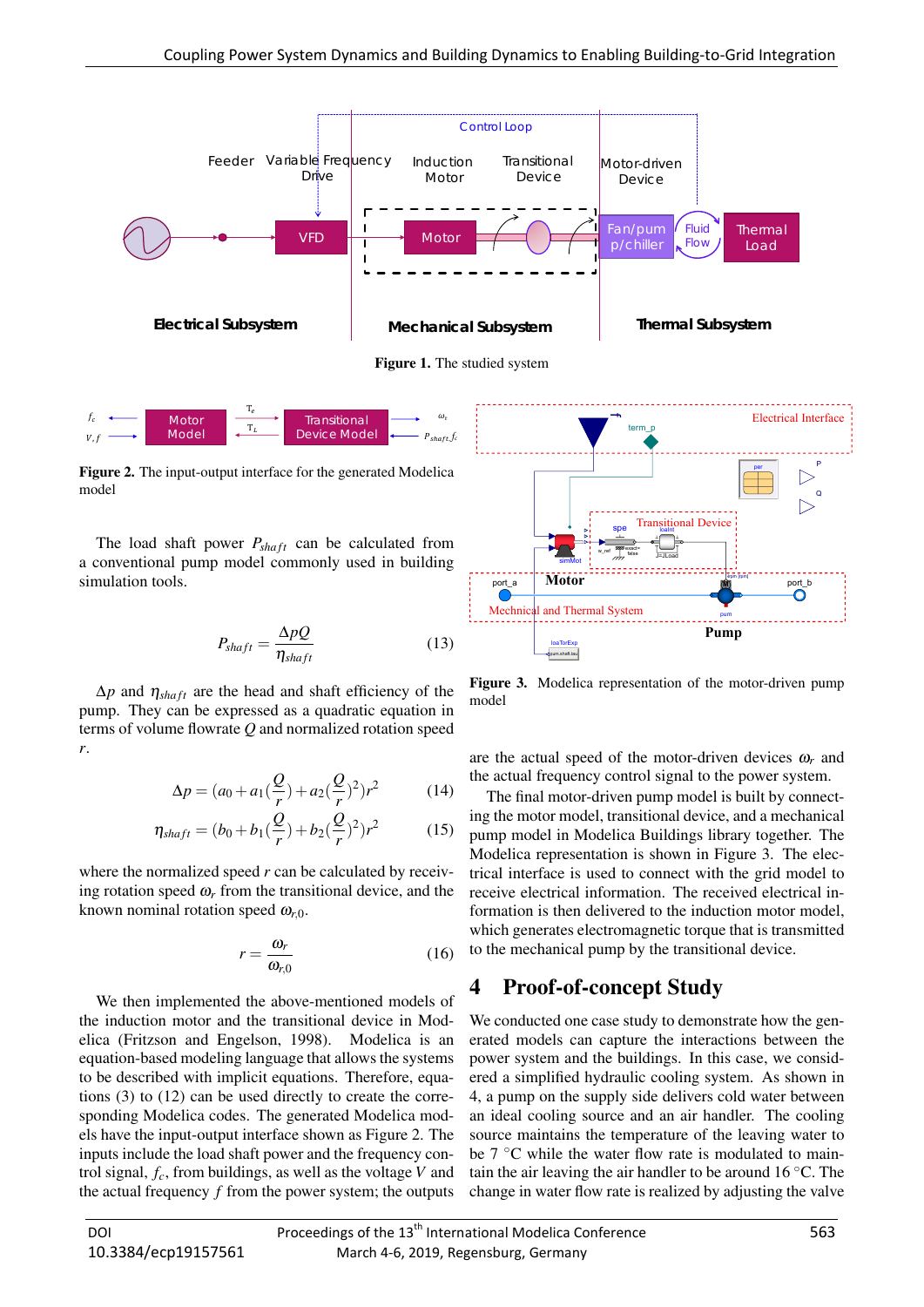

 $\omega_{\rm r}$ ܲ௦௧, *f<sup>c</sup>*

Figure 2. The input-output interface for the generated Modelica model

 $T_e$ Τ

Moto Model

 $V<sub>1</sub>$ f

The load shaft power *Psha ft* can be calculated from a conventional pump model commonly used in building simulation tools.

$$
P_{shaft} = \frac{\Delta pQ}{\eta_{shaft}}\tag{13}
$$

**Transitiona** Device Mode

 $\Delta p$  and  $\eta_{\text{shaff}}$  are the head and shaft efficiency of the pump. They can be expressed as a quadratic equation in terms of volume flowrate *Q* and normalized rotation speed *r*.

$$
\Delta p = (a_0 + a_1(\frac{Q}{r}) + a_2(\frac{Q}{r})^2)r^2 \tag{14}
$$

$$
\eta_{shaff} = (b_0 + b_1(\frac{Q}{r}) + b_2(\frac{Q}{r})^2)r^2
$$
 (15)

where the normalized speed *r* can be calculated by receiving rotation speed  $\omega_r$  from the transitional device, and the known nominal rotation speed  $\omega_{r0}$ .

$$
r = \frac{\omega_r}{\omega_{r,0}}\tag{16}
$$

Electrical Subsystem Machanical Subsystem Thermal Subsystem <br>  $\frac{1}{2}$  More 1.<sup>2</sup> Instant Jose <br>
Lemma 1. The simulation stress of the space of the space of the space of the space of the space of the space of the space o We then implemented the above-mentioned models of the induction motor and the transitional device in Modelica (Fritzson and Engelson, 1998). Modelica is an equation-based modeling language that allows the systems to be described with implicit equations. Therefore, equations (3) to (12) can be used directly to create the corresponding Modelica codes. The generated Modelica models have the input-output interface shown as Figure 2. The inputs include the load shaft power and the frequency control signal, *fc*, from buildings, as well as the voltage *V* and the actual frequency *f* from the power system; the outputs



Figure 3. Modelica representation of the motor-driven pump model

are the actual speed of the motor-driven devices ω*<sup>r</sup>* and the actual frequency control signal to the power system.

The final motor-driven pump model is built by connecting the motor model, transitional device, and a mechanical pump model in Modelica Buildings library together. The Modelica representation is shown in Figure 3. The electrical interface is used to connect with the grid model to receive electrical information. The received electrical information is then delivered to the induction motor model, which generates electromagnetic torque that is transmitted to the mechanical pump by the transitional device.

#### 4 Proof-of-concept Study

We conducted one case study to demonstrate how the generated models can capture the interactions between the power system and the buildings. In this case, we considered a simplified hydraulic cooling system. As shown in 4, a pump on the supply side delivers cold water between an ideal cooling source and an air handler. The cooling source maintains the temperature of the leaving water to be  $7^{\circ}$ C while the water flow rate is modulated to maintain the air leaving the air handler to be around 16 ◦C. The change in water flow rate is realized by adjusting the valve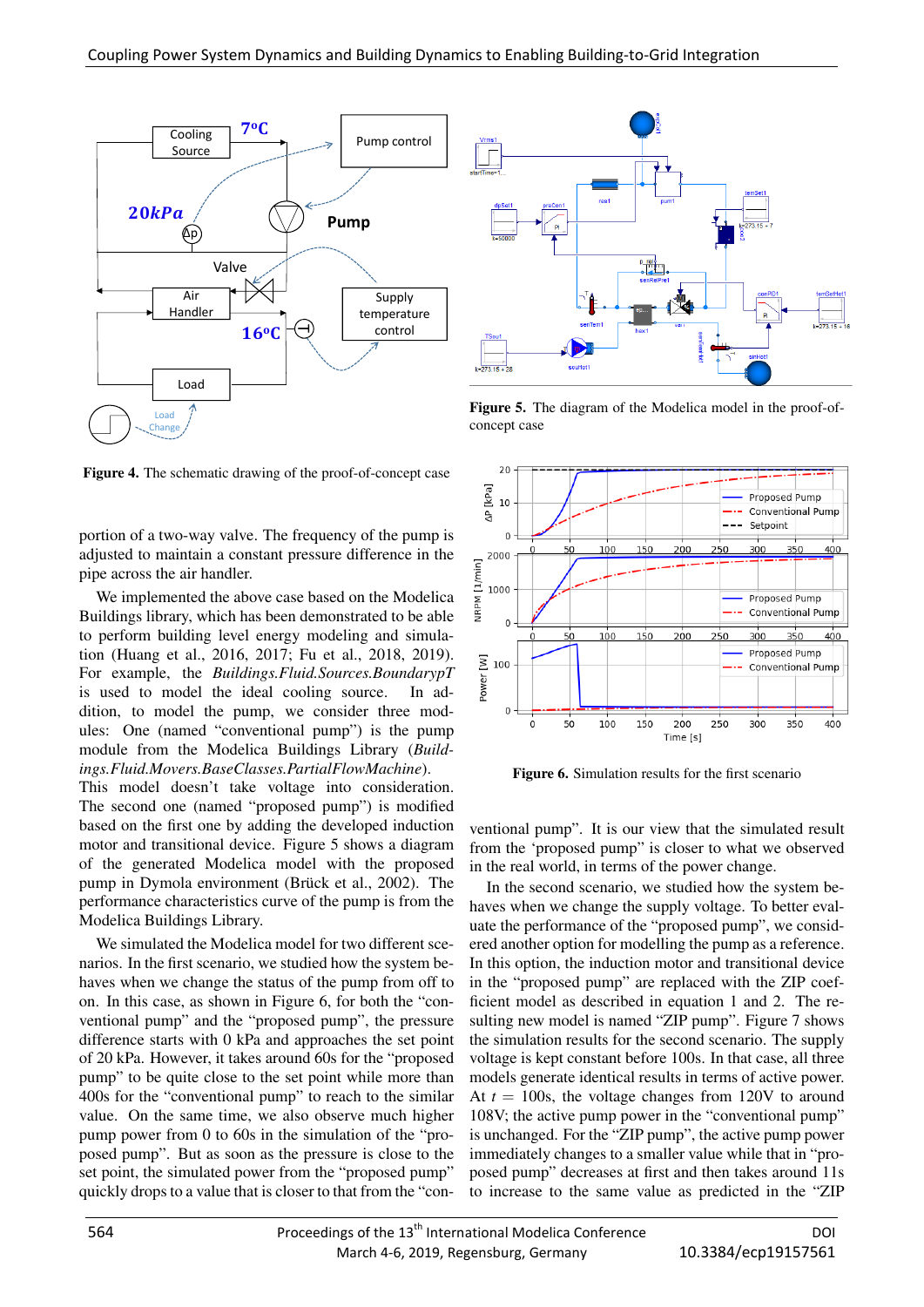

Figure 4. The schematic drawing of the proof-of-concept case

portion of a two-way valve. The frequency of the pump is adjusted to maintain a constant pressure difference in the pipe across the air handler.

We implemented the above case based on the Modelica Buildings library, which has been demonstrated to be able to perform building level energy modeling and simulation (Huang et al., 2016, 2017; Fu et al., 2018, 2019). For example, the *Buildings.Fluid.Sources.BoundarypT* is used to model the ideal cooling source. In addition, to model the pump, we consider three modules: One (named "conventional pump") is the pump module from the Modelica Buildings Library (*Buildings.Fluid.Movers.BaseClasses.PartialFlowMachine*).

This model doesn't take voltage into consideration. The second one (named "proposed pump") is modified based on the first one by adding the developed induction motor and transitional device. Figure 5 shows a diagram of the generated Modelica model with the proposed pump in Dymola environment (Brück et al., 2002). The performance characteristics curve of the pump is from the Modelica Buildings Library.

We simulated the Modelica model for two different scenarios. In the first scenario, we studied how the system behaves when we change the status of the pump from off to on. In this case, as shown in Figure 6, for both the "conventional pump" and the "proposed pump", the pressure difference starts with 0 kPa and approaches the set point of 20 kPa. However, it takes around 60s for the "proposed pump" to be quite close to the set point while more than 400s for the "conventional pump" to reach to the similar value. On the same time, we also observe much higher pump power from 0 to 60s in the simulation of the "proposed pump". But as soon as the pressure is close to the set point, the simulated power from the "proposed pump" quickly drops to a value that is closer to that from the "con-



Figure 5. The diagram of the Modelica model in the proof-ofconcept case



Figure 6. Simulation results for the first scenario

ventional pump". It is our view that the simulated result from the 'proposed pump" is closer to what we observed in the real world, in terms of the power change.

In the second scenario, we studied how the system behaves when we change the supply voltage. To better evaluate the performance of the "proposed pump", we considered another option for modelling the pump as a reference. In this option, the induction motor and transitional device in the "proposed pump" are replaced with the ZIP coefficient model as described in equation 1 and 2. The resulting new model is named "ZIP pump". Figure 7 shows the simulation results for the second scenario. The supply voltage is kept constant before 100s. In that case, all three models generate identical results in terms of active power. At  $t = 100$ s, the voltage changes from 120V to around 108V; the active pump power in the "conventional pump" is unchanged. For the "ZIP pump", the active pump power immediately changes to a smaller value while that in "proposed pump" decreases at first and then takes around 11s to increase to the same value as predicted in the "ZIP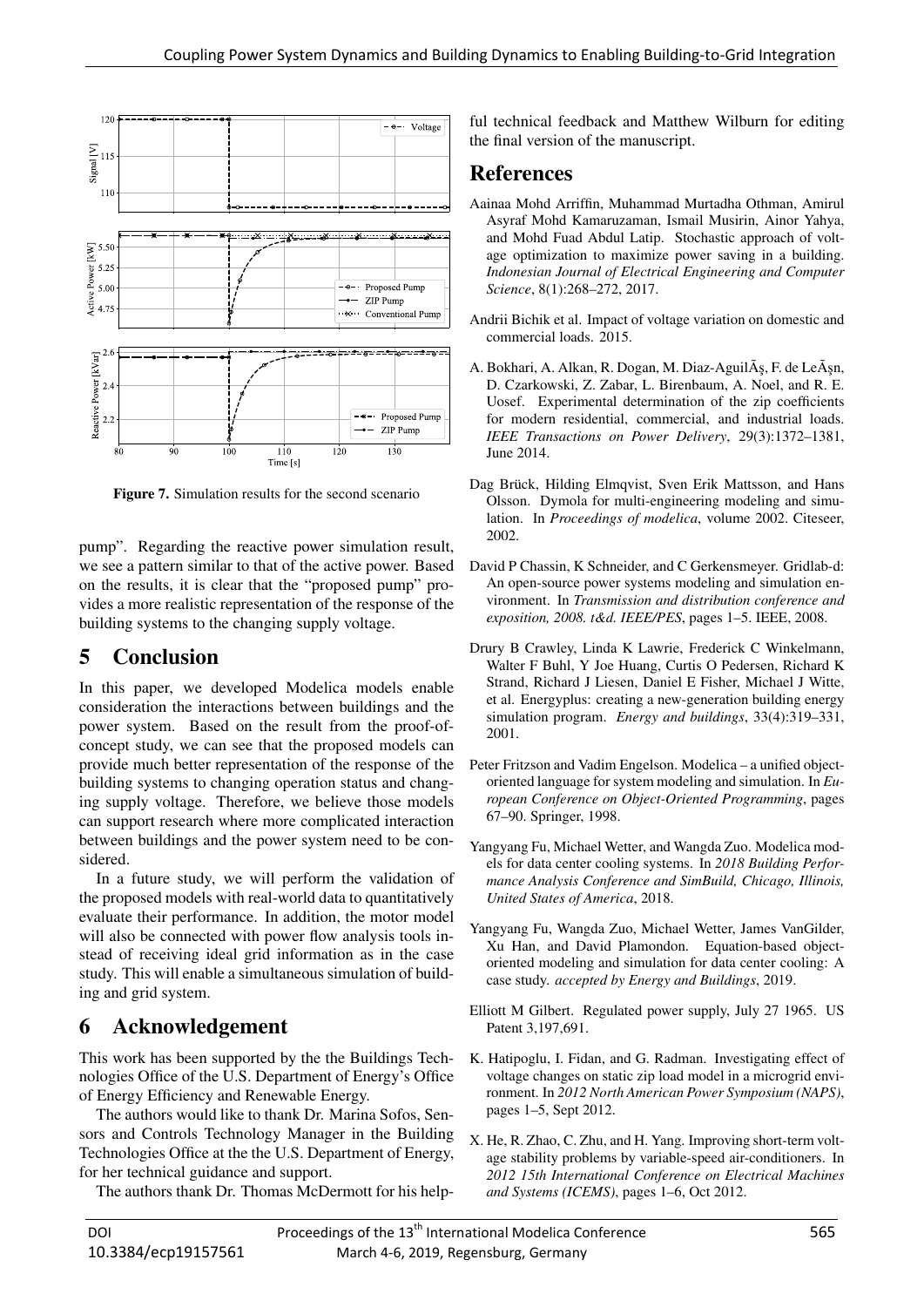

Figure 7. Simulation results for the second scenario

pump". Regarding the reactive power simulation result, we see a pattern similar to that of the active power. Based on the results, it is clear that the "proposed pump" provides a more realistic representation of the response of the building systems to the changing supply voltage.

## 5 Conclusion

In this paper, we developed Modelica models enable consideration the interactions between buildings and the power system. Based on the result from the proof-ofconcept study, we can see that the proposed models can provide much better representation of the response of the building systems to changing operation status and changing supply voltage. Therefore, we believe those models can support research where more complicated interaction between buildings and the power system need to be considered.

In a future study, we will perform the validation of the proposed models with real-world data to quantitatively evaluate their performance. In addition, the motor model will also be connected with power flow analysis tools instead of receiving ideal grid information as in the case study. This will enable a simultaneous simulation of building and grid system.

### 6 Acknowledgement

This work has been supported by the the Buildings Technologies Office of the U.S. Department of Energy's Office of Energy Efficiency and Renewable Energy.

The authors would like to thank Dr. Marina Sofos, Sensors and Controls Technology Manager in the Building Technologies Office at the the U.S. Department of Energy, for her technical guidance and support.

The authors thank Dr. Thomas McDermott for his help-

ful technical feedback and Matthew Wilburn for editing the final version of the manuscript.

### References

- Aainaa Mohd Arriffin, Muhammad Murtadha Othman, Amirul Asyraf Mohd Kamaruzaman, Ismail Musirin, Ainor Yahya, and Mohd Fuad Abdul Latip. Stochastic approach of voltage optimization to maximize power saving in a building. *Indonesian Journal of Electrical Engineering and Computer Science*, 8(1):268–272, 2017.
- Andrii Bichik et al. Impact of voltage variation on domestic and commercial loads. 2015.
- A. Bokhari, A. Alkan, R. Dogan, M. Diaz-Aguil $\tilde{A}$ ş, F. de Le $\tilde{A}$ şn, D. Czarkowski, Z. Zabar, L. Birenbaum, A. Noel, and R. E. Uosef. Experimental determination of the zip coefficients for modern residential, commercial, and industrial loads. *IEEE Transactions on Power Delivery*, 29(3):1372–1381, June 2014.
- Dag Brück, Hilding Elmqvist, Sven Erik Mattsson, and Hans Olsson. Dymola for multi-engineering modeling and simulation. In *Proceedings of modelica*, volume 2002. Citeseer, 2002.
- David P Chassin, K Schneider, and C Gerkensmeyer. Gridlab-d: An open-source power systems modeling and simulation environment. In *Transmission and distribution conference and exposition, 2008. t&d. IEEE/PES*, pages 1–5. IEEE, 2008.
- Drury B Crawley, Linda K Lawrie, Frederick C Winkelmann, Walter F Buhl, Y Joe Huang, Curtis O Pedersen, Richard K Strand, Richard J Liesen, Daniel E Fisher, Michael J Witte, et al. Energyplus: creating a new-generation building energy simulation program. *Energy and buildings*, 33(4):319–331, 2001.
- Peter Fritzson and Vadim Engelson. Modelica a unified objectoriented language for system modeling and simulation. In *European Conference on Object-Oriented Programming*, pages 67–90. Springer, 1998.
- Yangyang Fu, Michael Wetter, and Wangda Zuo. Modelica models for data center cooling systems. In *2018 Building Performance Analysis Conference and SimBuild, Chicago, Illinois, United States of America*, 2018.
- Yangyang Fu, Wangda Zuo, Michael Wetter, James VanGilder, Xu Han, and David Plamondon. Equation-based objectoriented modeling and simulation for data center cooling: A case study. *accepted by Energy and Buildings*, 2019.
- Elliott M Gilbert. Regulated power supply, July 27 1965. US Patent 3,197,691.
- K. Hatipoglu, I. Fidan, and G. Radman. Investigating effect of voltage changes on static zip load model in a microgrid environment. In *2012 North American Power Symposium (NAPS)*, pages 1–5, Sept 2012.
- X. He, R. Zhao, C. Zhu, and H. Yang. Improving short-term voltage stability problems by variable-speed air-conditioners. In *2012 15th International Conference on Electrical Machines and Systems (ICEMS)*, pages 1–6, Oct 2012.